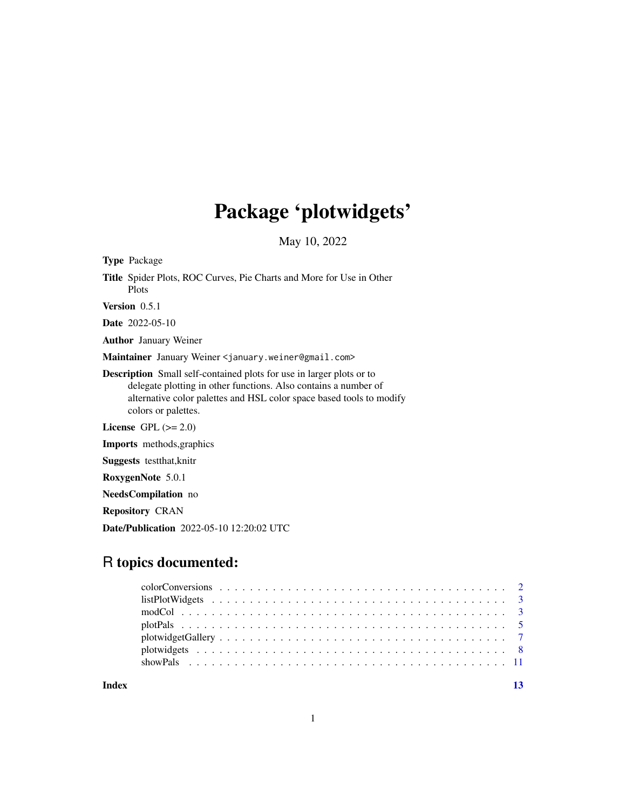# Package 'plotwidgets'

May 10, 2022

| <b>Type Package</b>                                                                                                                                                                                                                           |
|-----------------------------------------------------------------------------------------------------------------------------------------------------------------------------------------------------------------------------------------------|
| <b>Title</b> Spider Plots, ROC Curves, Pie Charts and More for Use in Other<br>Plots                                                                                                                                                          |
| <b>Version</b> $0.5.1$                                                                                                                                                                                                                        |
| <b>Date</b> 2022-05-10                                                                                                                                                                                                                        |
| <b>Author</b> January Weiner                                                                                                                                                                                                                  |
| Maintainer January Weiner <january.weiner@gmail.com></january.weiner@gmail.com>                                                                                                                                                               |
| <b>Description</b> Small self-contained plots for use in larger plots or to<br>delegate plotting in other functions. Also contains a number of<br>alternative color palettes and HSL color space based tools to modify<br>colors or palettes. |
| License GPL $(>= 2.0)$                                                                                                                                                                                                                        |
| <b>Imports</b> methods, graphics                                                                                                                                                                                                              |
| <b>Suggests</b> test that, knitr                                                                                                                                                                                                              |
| RoxygenNote 5.0.1                                                                                                                                                                                                                             |
| <b>NeedsCompilation</b> no                                                                                                                                                                                                                    |
| <b>Repository CRAN</b>                                                                                                                                                                                                                        |

# R topics documented:

Date/Publication 2022-05-10 12:20:02 UTC

**Index** [13](#page-12-0)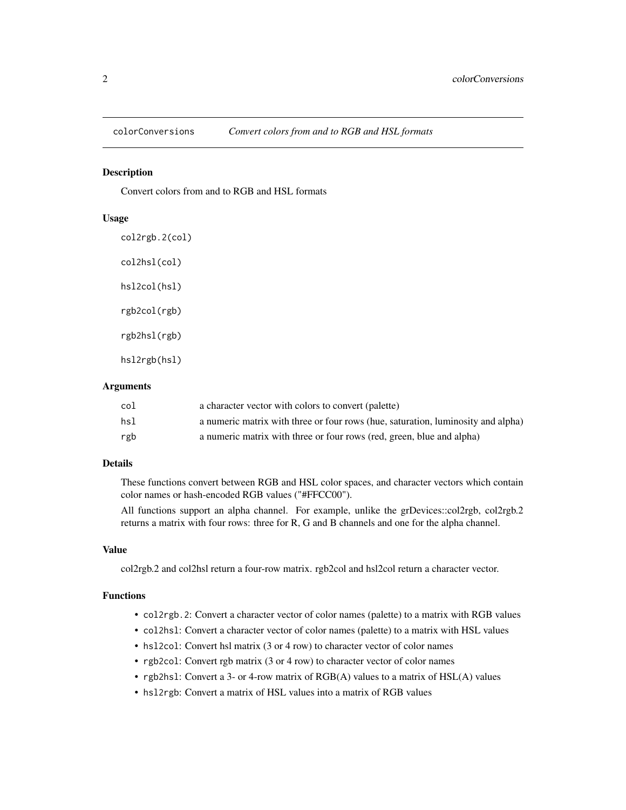<span id="page-1-0"></span>

#### <span id="page-1-1"></span>**Description**

Convert colors from and to RGB and HSL formats

#### Usage

col2rgb.2(col) col2hsl(col) hsl2col(hsl) rgb2col(rgb) rgb2hsl(rgb) hsl2rgb(hsl)

#### **Arguments**

| col | a character vector with colors to convert (palette)                              |
|-----|----------------------------------------------------------------------------------|
| hsl | a numeric matrix with three or four rows (hue, saturation, luminosity and alpha) |
| rgb | a numeric matrix with three or four rows (red, green, blue and alpha)            |

# Details

These functions convert between RGB and HSL color spaces, and character vectors which contain color names or hash-encoded RGB values ("#FFCC00").

All functions support an alpha channel. For example, unlike the grDevices::col2rgb, col2rgb.2 returns a matrix with four rows: three for R, G and B channels and one for the alpha channel.

#### Value

col2rgb.2 and col2hsl return a four-row matrix. rgb2col and hsl2col return a character vector.

# Functions

- col2rgb.2: Convert a character vector of color names (palette) to a matrix with RGB values
- col2hsl: Convert a character vector of color names (palette) to a matrix with HSL values
- hsl2col: Convert hsl matrix (3 or 4 row) to character vector of color names
- rgb2col: Convert rgb matrix (3 or 4 row) to character vector of color names
- rgb2hsl: Convert a 3- or 4-row matrix of RGB(A) values to a matrix of HSL(A) values
- hsl2rgb: Convert a matrix of HSL values into a matrix of RGB values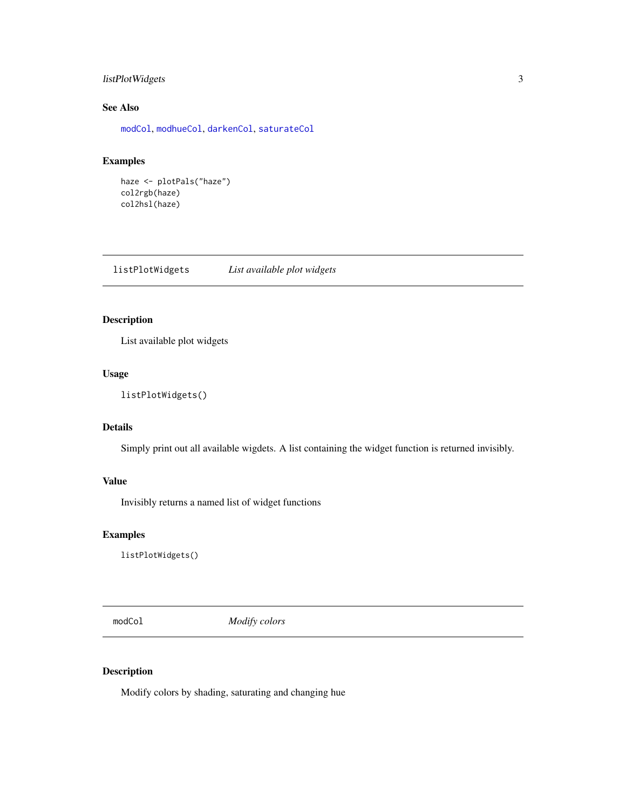# <span id="page-2-0"></span>listPlotWidgets 3

# See Also

[modCol](#page-2-1), [modhueCol](#page-2-2), [darkenCol](#page-2-2), [saturateCol](#page-2-2)

# Examples

```
haze <- plotPals("haze")
col2rgb(haze)
col2hsl(haze)
```
<span id="page-2-3"></span>listPlotWidgets *List available plot widgets*

# Description

List available plot widgets

# Usage

```
listPlotWidgets()
```
# Details

Simply print out all available wigdets. A list containing the widget function is returned invisibly.

# Value

Invisibly returns a named list of widget functions

#### Examples

listPlotWidgets()

<span id="page-2-1"></span>modCol *Modify colors*

# <span id="page-2-2"></span>Description

Modify colors by shading, saturating and changing hue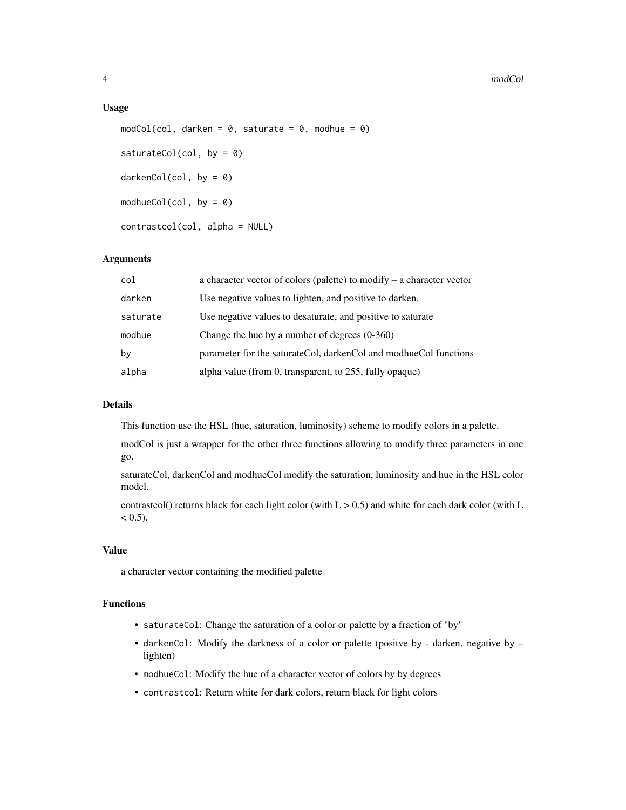#### 4 modCol

#### Usage

```
modCol,col, darken = 0, saturate = 0, modhue = 0)
saturateCol(col, by = \theta)
darkenCol(col, by = 0)modhueCol(col, by = \theta)
contrastcol(col, alpha = NULL)
```
#### Arguments

| col      | a character vector of colors (palette) to modify $-$ a character vector |
|----------|-------------------------------------------------------------------------|
| darken   | Use negative values to lighten, and positive to darken.                 |
| saturate | Use negative values to desaturate, and positive to saturate             |
| modhue   | Change the hue by a number of degrees $(0-360)$                         |
| by       | parameter for the saturate Col, darken Col and modhue Col functions     |
| alpha    | alpha value (from 0, transparent, to 255, fully opaque)                 |

# Details

This function use the HSL (hue, saturation, luminosity) scheme to modify colors in a palette.

modCol is just a wrapper for the other three functions allowing to modify three parameters in one go.

saturateCol, darkenCol and modhueCol modify the saturation, luminosity and hue in the HSL color model.

contrastcol() returns black for each light color (with  $L > 0.5$ ) and white for each dark color (with  $L$  $< 0.5$ ).

#### Value

a character vector containing the modified palette

# Functions

- saturateCol: Change the saturation of a color or palette by a fraction of "by"
- darkenCol: Modify the darkness of a color or palette (positve by darken, negative by lighten)
- modhueCol: Modify the hue of a character vector of colors by by degrees
- contrastcol: Return white for dark colors, return black for light colors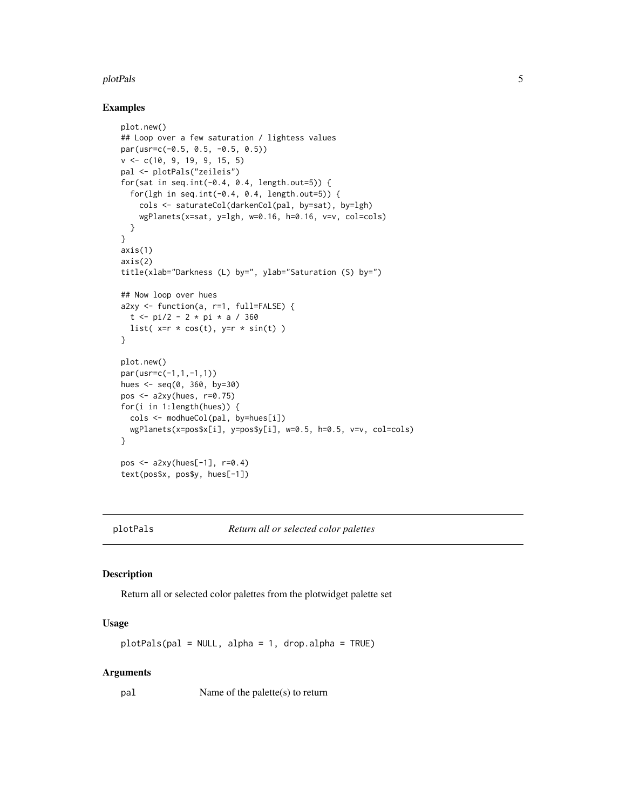#### <span id="page-4-0"></span>plotPals 5

#### Examples

```
plot.new()
## Loop over a few saturation / lightess values
par(usr=c(-0.5, 0.5, -0.5, 0.5))
v <- c(10, 9, 19, 9, 15, 5)
pal <- plotPals("zeileis")
for(sat in seq.int(-0.4, 0.4, length.out=5)) {
  for(lgh in seq.int(-0.4, 0.4, length.out=5)) {
    cols <- saturateCol(darkenCol(pal, by=sat), by=lgh)
    wgPlanets(x=sat, y=lgh, w=0.16, h=0.16, v=v, col=cols)
  }
}
axis(1)
axis(2)
title(xlab="Darkness (L) by=", ylab="Saturation (S) by=")
## Now loop over hues
a2xy <- function(a, r=1, full=FALSE) {
  t <- pi/2 - 2 * pi * a / 360
 list(x=r * cos(t), y=r * sin(t))
}
plot.new()
par(usr=c(-1,1,-1,1))
hues <- seq(0, 360, by=30)
pos <- a2xy(hues, r=0.75)
for(i in 1:length(hues)) {
  cols <- modhueCol(pal, by=hues[i])
  wgPlanets(x=pos$x[i], y=pos$y[i], w=0.5, h=0.5, v=v, col=cols)
}
pos \leq -a2xy(hues[-1], r=0.4)text(pos$x, pos$y, hues[-1])
```
plotPals *Return all or selected color palettes*

#### Description

Return all or selected color palettes from the plotwidget palette set

#### Usage

 $plotPals(pal = NULL, alpha = 1, drop.alpha = TRUE)$ 

#### Arguments

pal Name of the palette(s) to return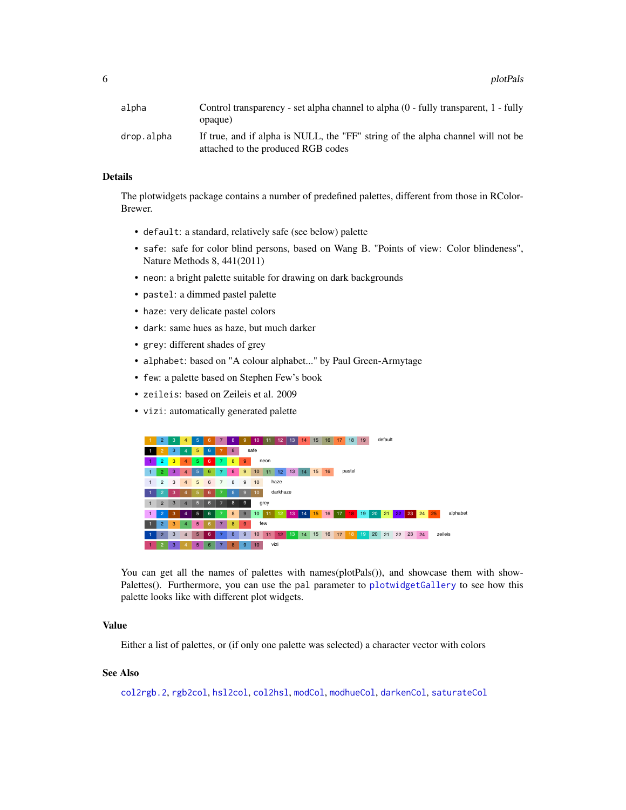<span id="page-5-0"></span>6 between the control of the control of the control of the control of the control of the control of the control of the control of the control of the control of the control of the control of the control of the control of th

| alpha      | Control transparency - set alpha channel to alpha (0 - fully transparent, 1 - fully<br>opaque)                        |
|------------|-----------------------------------------------------------------------------------------------------------------------|
| drop.alpha | If true, and if alpha is NULL, the "FF" string of the alpha channel will not be<br>attached to the produced RGB codes |

# Details

The plotwidgets package contains a number of predefined palettes, different from those in RColor-Brewer.

- default: a standard, relatively safe (see below) palette
- safe: safe for color blind persons, based on Wang B. "Points of view: Color blindeness", Nature Methods 8, 441(2011)
- neon: a bright palette suitable for drawing on dark backgrounds
- pastel: a dimmed pastel palette
- haze: very delicate pastel colors
- dark: same hues as haze, but much darker
- grey: different shades of grey
- alphabet: based on "A colour alphabet..." by Paul Green-Armytage
- few: a palette based on Stephen Few's book
- zeileis: based on Zeileis et al. 2009
- vizi: automatically generated palette



You can get all the names of palettes with names(plotPals()), and showcase them with showPalettes(). Furthermore, you can use the pal parameter to [plotwidgetGallery](#page-6-1) to see how this palette looks like with different plot widgets.

# Value

Either a list of palettes, or (if only one palette was selected) a character vector with colors

# See Also

[col2rgb.2](#page-1-1), [rgb2col](#page-1-1), [hsl2col](#page-1-1), [col2hsl](#page-1-1), [modCol](#page-2-1), [modhueCol](#page-2-2), [darkenCol](#page-2-2), [saturateCol](#page-2-2)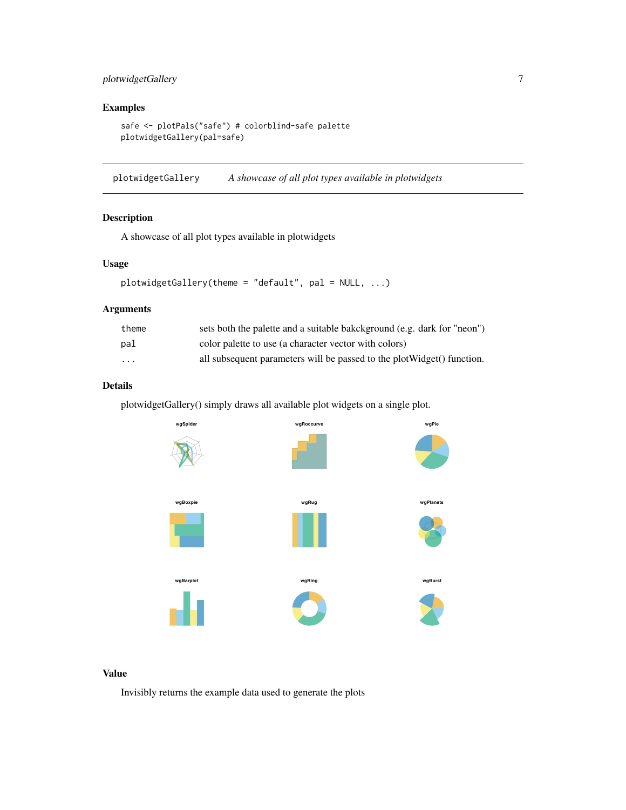# <span id="page-6-0"></span>plotwidgetGallery 7

# Examples

safe <- plotPals("safe") # colorblind-safe palette plotwidgetGallery(pal=safe)

<span id="page-6-1"></span>plotwidgetGallery *A showcase of all plot types available in plotwidgets*

# Description

A showcase of all plot types available in plotwidgets

# Usage

```
plotwidgetGallery(theme = "default", pal = NULL, ...)
```
# Arguments

| theme    | sets both the palette and a suitable bakckground (e.g. dark for "neon") |
|----------|-------------------------------------------------------------------------|
| pal      | color palette to use (a character vector with colors)                   |
| $\cdots$ | all subsequent parameters will be passed to the plot Widget() function. |

# Details

plotwidgetGallery() simply draws all available plot widgets on a single plot.



#### Value

Invisibly returns the example data used to generate the plots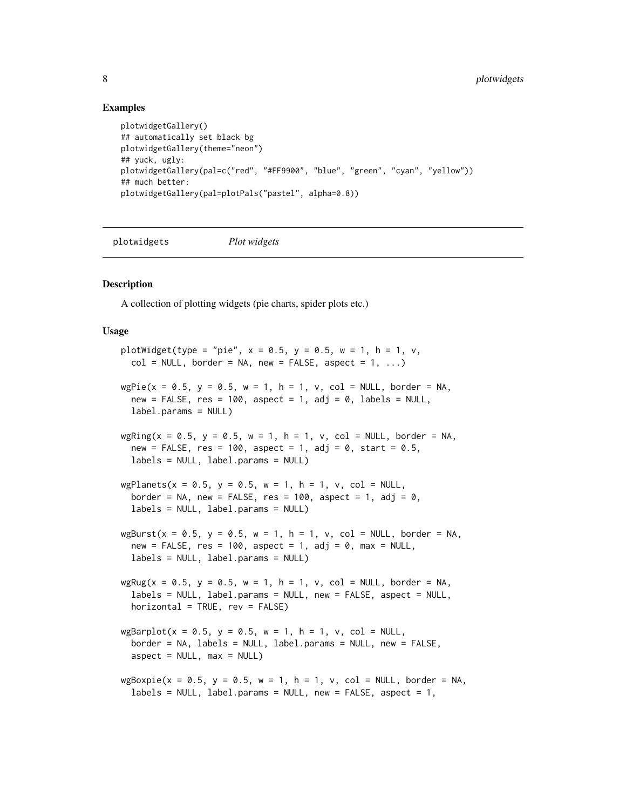#### Examples

```
plotwidgetGallery()
## automatically set black bg
plotwidgetGallery(theme="neon")
## yuck, ugly:
plotwidgetGallery(pal=c("red", "#FF9900", "blue", "green", "cyan", "yellow"))
## much better:
plotwidgetGallery(pal=plotPals("pastel", alpha=0.8))
```
plotwidgets *Plot widgets*

#### <span id="page-7-1"></span>**Description**

A collection of plotting widgets (pie charts, spider plots etc.)

#### Usage

```
plotWidget(type = "pie", x = 0.5, y = 0.5, w = 1, h = 1, v,
 col = NULL, border = NA, new = FALSE, aspect = 1, ...)
wgPie(x = 0.5, y = 0.5, w = 1, h = 1, v, col = NULL, border = NA,new = FALSE, res = 100, aspect = 1, adj = 0, labels = NULL,label.params = NULL)
wgRing(x = 0.5, y = 0.5, w = 1, h = 1, v, col = NULL, border = NA,new = FALSE, res = 100, aspect = 1, adj = 0, start = 0.5,
 labels = NULL, label.params = NULL)
wgPlanets(x = 0.5, y = 0.5, w = 1, h = 1, v, col = NULL,
 border = NA, new = FALSE, res = 100, aspect = 1, adj = 0,
 labels = NULL, label.params = NULL)
wgBurst(x = 0.5, y = 0.5, w = 1, h = 1, v, col = NULL, border = NA,new = FALSE, res = 100, aspect = 1, adj = 0, max = NULL,
 labels = NULL, label.params = NULL)wgRug(x = 0.5, y = 0.5, w = 1, h = 1, v, col = NULL, border = NA,labels = NULL, label.params = NULL, new = FALSE, aspect = NULL,
 horizontal = TRUE, rev = FALSE)
wgBarplot(x = 0.5, y = 0.5, w = 1, h = 1, v, col = NULL,border = NA, labels = NULL, label.params = NULL, new = FALSE,
  aspect = NULL, max = NULLwgBoxpie(x = 0.5, y = 0.5, w = 1, h = 1, v, col = NULL, border = NA,labels = NULL, labels = NULL, leb = 1, new = FALSE, aspect = 1,
```
<span id="page-7-0"></span>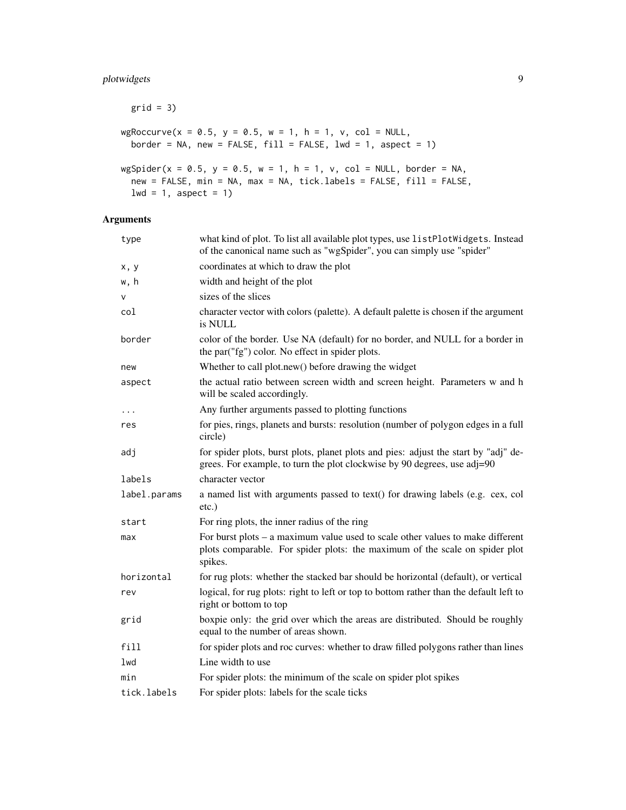# plotwidgets 9

```
grid = 3)wgRoccurve(x = 0.5, y = 0.5, w = 1, h = 1, v, col = NULL,border = NA, new = FALSE, fill = FALSE, lwd = 1, aspect = 1)
wgSpider(x = 0.5, y = 0.5, w = 1, h = 1, v, col = NULL, border = NA,
 new = FALSE, min = NA, max = NA, tick.labels = FALSE, fill = FALSE,
 lwd = 1, aspect = 1)
```
# Arguments

| type         | what kind of plot. To list all available plot types, use listPlotWidgets. Instead<br>of the canonical name such as "wgSpider", you can simply use "spider"               |
|--------------|--------------------------------------------------------------------------------------------------------------------------------------------------------------------------|
| x, y         | coordinates at which to draw the plot                                                                                                                                    |
| w, h         | width and height of the plot                                                                                                                                             |
| V            | sizes of the slices                                                                                                                                                      |
| col          | character vector with colors (palette). A default palette is chosen if the argument<br>is NULL                                                                           |
| border       | color of the border. Use NA (default) for no border, and NULL for a border in<br>the par("fg") color. No effect in spider plots.                                         |
| new          | Whether to call plot.new() before drawing the widget                                                                                                                     |
| aspect       | the actual ratio between screen width and screen height. Parameters w and h<br>will be scaled accordingly.                                                               |
| .            | Any further arguments passed to plotting functions                                                                                                                       |
| res          | for pies, rings, planets and bursts: resolution (number of polygon edges in a full<br>circle)                                                                            |
| adj          | for spider plots, burst plots, planet plots and pies: adjust the start by "adj" de-<br>grees. For example, to turn the plot clockwise by 90 degrees, use adj=90          |
| labels       | character vector                                                                                                                                                         |
| label.params | a named list with arguments passed to text() for drawing labels (e.g. cex, col<br>$etc.$ )                                                                               |
| start        | For ring plots, the inner radius of the ring                                                                                                                             |
| max          | For burst plots – a maximum value used to scale other values to make different<br>plots comparable. For spider plots: the maximum of the scale on spider plot<br>spikes. |
| horizontal   | for rug plots: whether the stacked bar should be horizontal (default), or vertical                                                                                       |
| rev          | logical, for rug plots: right to left or top to bottom rather than the default left to<br>right or bottom to top                                                         |
| grid         | boxpie only: the grid over which the areas are distributed. Should be roughly<br>equal to the number of areas shown.                                                     |
| fill         | for spider plots and roc curves: whether to draw filled polygons rather than lines                                                                                       |
| lwd          | Line width to use                                                                                                                                                        |
| min          | For spider plots: the minimum of the scale on spider plot spikes                                                                                                         |
| tick.labels  | For spider plots: labels for the scale ticks                                                                                                                             |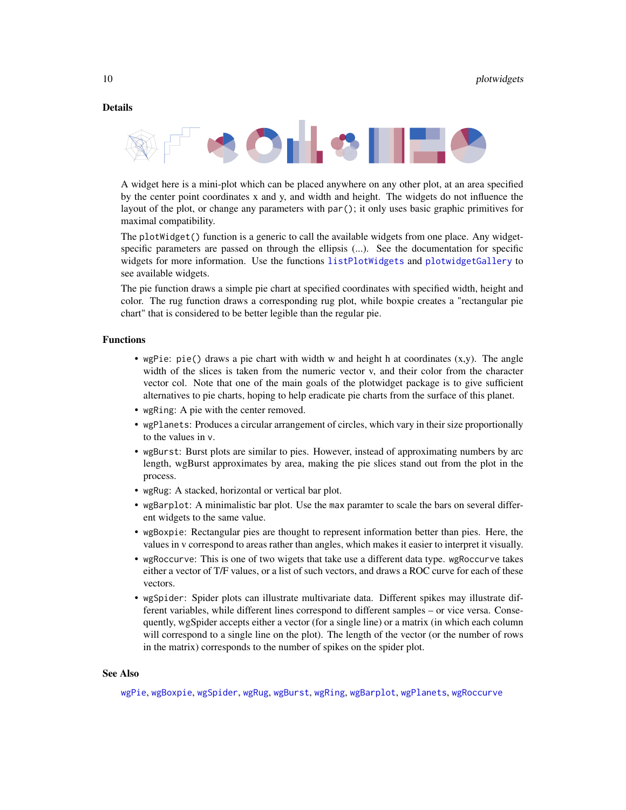#### <span id="page-9-0"></span>Details



A widget here is a mini-plot which can be placed anywhere on any other plot, at an area specified by the center point coordinates x and y, and width and height. The widgets do not influence the layout of the plot, or change any parameters with par(); it only uses basic graphic primitives for maximal compatibility.

The plotWidget() function is a generic to call the available widgets from one place. Any widgetspecific parameters are passed on through the ellipsis (...). See the documentation for specific widgets for more information. Use the functions [listPlotWidgets](#page-2-3) and [plotwidgetGallery](#page-6-1) to see available widgets.

The pie function draws a simple pie chart at specified coordinates with specified width, height and color. The rug function draws a corresponding rug plot, while boxpie creates a "rectangular pie chart" that is considered to be better legible than the regular pie.

#### Functions

- wgPie: pie() draws a pie chart with width w and height h at coordinates  $(x,y)$ . The angle width of the slices is taken from the numeric vector v, and their color from the character vector col. Note that one of the main goals of the plotwidget package is to give sufficient alternatives to pie charts, hoping to help eradicate pie charts from the surface of this planet.
- wgRing: A pie with the center removed.
- wgPlanets: Produces a circular arrangement of circles, which vary in their size proportionally to the values in v.
- wgBurst: Burst plots are similar to pies. However, instead of approximating numbers by arc length, wgBurst approximates by area, making the pie slices stand out from the plot in the process.
- wgRug: A stacked, horizontal or vertical bar plot.
- wgBarplot: A minimalistic bar plot. Use the max paramter to scale the bars on several different widgets to the same value.
- wgBoxpie: Rectangular pies are thought to represent information better than pies. Here, the values in v correspond to areas rather than angles, which makes it easier to interpret it visually.
- wgRoccurve: This is one of two wigets that take use a different data type. wgRoccurve takes either a vector of T/F values, or a list of such vectors, and draws a ROC curve for each of these vectors.
- wgSpider: Spider plots can illustrate multivariate data. Different spikes may illustrate different variables, while different lines correspond to different samples – or vice versa. Consequently, wgSpider accepts either a vector (for a single line) or a matrix (in which each column will correspond to a single line on the plot). The length of the vector (or the number of rows in the matrix) corresponds to the number of spikes on the spider plot.

#### See Also

[wgPie](#page-7-1), [wgBoxpie](#page-7-1), [wgSpider](#page-7-1), [wgRug](#page-7-1), [wgBurst](#page-7-1), [wgRing](#page-7-1), [wgBarplot](#page-7-1), [wgPlanets](#page-7-1), [wgRoccurve](#page-7-1)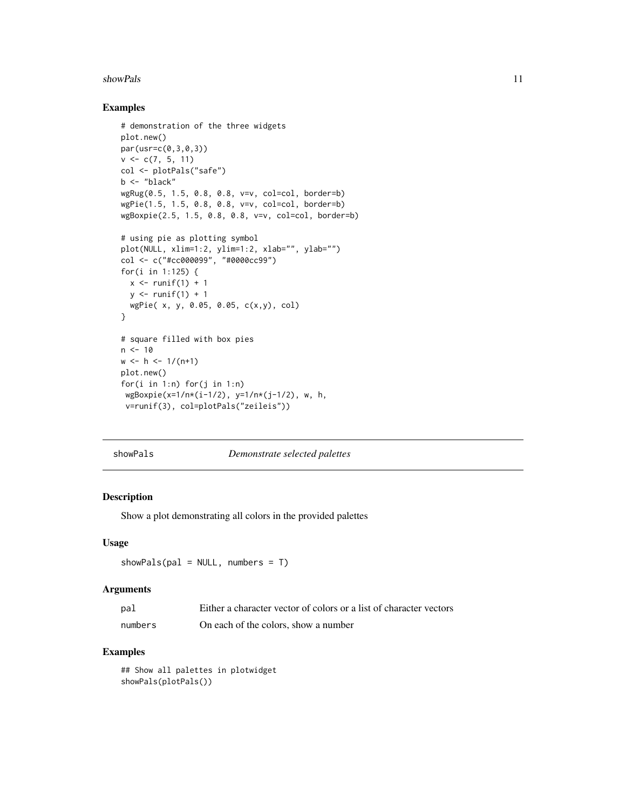#### <span id="page-10-0"></span>showPals 2012 and 2013 and 2013 and 2013 and 2013 and 2013 and 2013 and 2013 and 2013 and 2013 and 2013 and 2013 and 2013 and 2013 and 2013 and 2013 and 2013 and 2013 and 2013 and 2013 and 2013 and 2013 and 2013 and 2013 a

#### Examples

```
# demonstration of the three widgets
plot.new()
par(usr=c(0,3,0,3))
v \leq c(7, 5, 11)col <- plotPals("safe")
b <- "black"
wgRug(0.5, 1.5, 0.8, 0.8, v=v, col=col, border=b)
wgPie(1.5, 1.5, 0.8, 0.8, v=v, col=col, border=b)
wgBoxpie(2.5, 1.5, 0.8, 0.8, v=v, col=col, border=b)
# using pie as plotting symbol
plot(NULL, xlim=1:2, ylim=1:2, xlab="", ylab="")
col <- c("#cc000099", "#0000cc99")
for(i in 1:125) {
  x \leftarrow runif(1) + 1y \le- runif(1) + 1
  wgPie( x, y, 0.05, 0.05, c(x,y), col)
}
# square filled with box pies
n < -10w \le h \le -1/(n+1)plot.new()
for(i in 1:n) for(j in 1:n)
 wgBoxpie(x=1/n*(i-1/2), y=1/n*(j-1/2), w, h,
 v=runif(3), col=plotPals("zeileis"))
```
#### showPals *Demonstrate selected palettes*

#### Description

Show a plot demonstrating all colors in the provided palettes

#### Usage

```
showPals(pal = NULL, numbers = T)
```
# Arguments

| pal     | Either a character vector of colors or a list of character vectors |
|---------|--------------------------------------------------------------------|
| numbers | On each of the colors, show a number                               |

# Examples

## Show all palettes in plotwidget showPals(plotPals())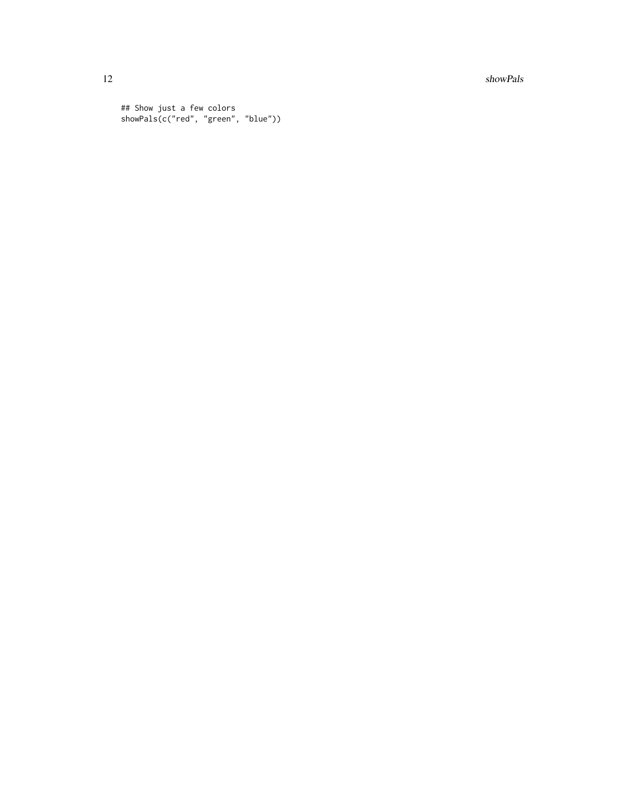12 showPals

## Show just a few colors showPals(c("red", "green", "blue"))